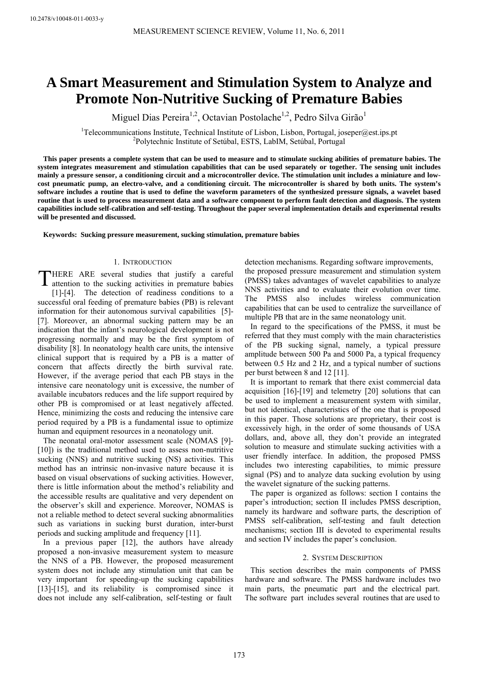# **A Smart Measurement and Stimulation System to Analyze and Promote Non-Nutritive Sucking of Premature Babies**

Miguel Dias Pereira<sup>1,2</sup>, Octavian Postolache<sup>1,2</sup>, Pedro Silva Girão<sup>1</sup>

<sup>1</sup>Telecommunications Institute, Technical Institute of Lisbon, Lisbon, Portugal, joseper@est.ips.pt <sup>2</sup>Polytechnic Institute of Setimber ESTS, LebIM, Setimber Portugal Polytechnic Institute of Setúbal, ESTS, LabIM, Setúbal, Portugal

**This paper presents a complete system that can be used to measure and to stimulate sucking abilities of premature babies. The system integrates measurement and stimulation capabilities that can be used separately or together. The sensing unit includes mainly a pressure sensor, a conditioning circuit and a microcontroller device. The stimulation unit includes a miniature and lowcost pneumatic pump, an electro-valve, and a conditioning circuit. The microcontroller is shared by both units. The system's software includes a routine that is used to define the waveform parameters of the synthesized pressure signals, a wavelet based routine that is used to process measurement data and a software component to perform fault detection and diagnosis. The system capabilities include self-calibration and self-testing. Throughout the paper several implementation details and experimental results will be presented and discussed.** 

**Keywords: Sucking pressure measurement, sucking stimulation, premature babies** 

# 1. INTRODUCTION

HERE ARE several studies that justify a careful THERE ARE several studies that justify a careful attention to the sucking activities in premature babies [1]-[4]. The detection of readiness conditions to a successful oral feeding of premature babies (PB) is relevant information for their autonomous survival capabilities [5]- [7]. Moreover, an abnormal sucking pattern may be an indication that the infant's neurological development is not progressing normally and may be the first symptom of disability [8]. In neonatology health care units, the intensive clinical support that is required by a PB is a matter of concern that affects directly the birth survival rate. However, if the average period that each PB stays in the intensive care neonatology unit is excessive, the number of available incubators reduces and the life support required by other PB is compromised or at least negatively affected. Hence, minimizing the costs and reducing the intensive care period required by a PB is a fundamental issue to optimize human and equipment resources in a neonatology unit.

The neonatal oral-motor assessment scale (NOMAS [9]- [10]) is the traditional method used to assess non-nutritive sucking (NNS) and nutritive sucking (NS) activities. This method has an intrinsic non-invasive nature because it is based on visual observations of sucking activities. However, there is little information about the method's reliability and the accessible results are qualitative and very dependent on the observer's skill and experience. Moreover, NOMAS is not a reliable method to detect several sucking abnormalities such as variations in sucking burst duration, inter-burst periods and sucking amplitude and frequency [11].

In a previous paper [12], the authors have already proposed a non-invasive measurement system to measure the NNS of a PB. However, the proposed measurement system does not include any stimulation unit that can be very important for speeding-up the sucking capabilities [13]-[15], and its reliability is compromised since it does not include any self-calibration, self-testing or fault

detection mechanisms. Regarding software improvements, the proposed pressure measurement and stimulation system (PMSS) takes advantages of wavelet capabilities to analyze NNS activities and to evaluate their evolution over time. The PMSS also includes wireless communication capabilities that can be used to centralize the surveillance of multiple PB that are in the same neonatology unit.

In regard to the specifications of the PMSS, it must be referred that they must comply with the main characteristics of the PB sucking signal, namely, a typical pressure amplitude between 500 Pa and 5000 Pa, a typical frequency between 0.5 Hz and 2 Hz, and a typical number of suctions per burst between 8 and 12 [11].

It is important to remark that there exist commercial data acquisition [16]-[19] and telemetry [20] solutions that can be used to implement a measurement system with similar, but not identical, characteristics of the one that is proposed in this paper. Those solutions are proprietary, their cost is excessively high, in the order of some thousands of USA dollars, and, above all, they don't provide an integrated solution to measure and stimulate sucking activities with a user friendly interface. In addition, the proposed PMSS includes two interesting capabilities, to mimic pressure signal (PS) and to analyze data sucking evolution by using the wavelet signature of the sucking patterns.

The paper is organized as follows: section I contains the paper's introduction; section II includes PMSS description, namely its hardware and software parts, the description of PMSS self-calibration, self-testing and fault detection mechanisms; section III is devoted to experimental results and section IV includes the paper's conclusion.

## 2. SYSTEM DESCRIPTION

This section describes the main components of PMSS hardware and software. The PMSS hardware includes two main parts, the pneumatic part and the electrical part. The software part includes several routines that are used to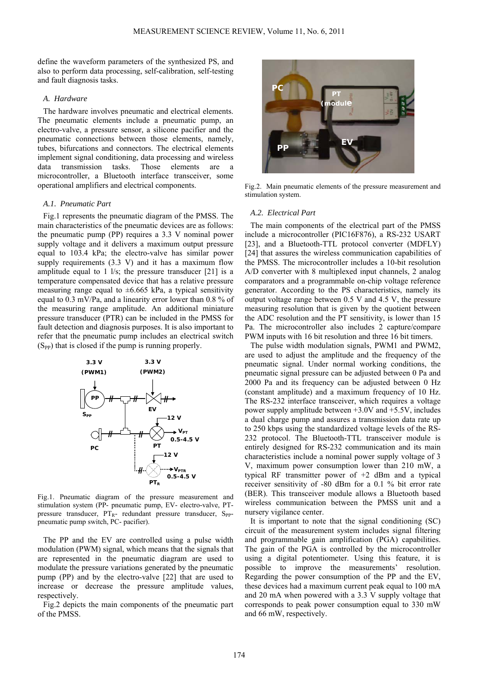define the waveform parameters of the synthesized PS, and also to perform data processing, self-calibration, self-testing and fault diagnosis tasks.

## *A. Hardware*

The hardware involves pneumatic and electrical elements. The pneumatic elements include a pneumatic pump, an electro-valve, a pressure sensor, a silicone pacifier and the pneumatic connections between those elements, namely, tubes, bifurcations and connectors. The electrical elements implement signal conditioning, data processing and wireless data transmission tasks. Those elements are a microcontroller, a Bluetooth interface transceiver, some operational amplifiers and electrical components.

## *A.1. Pneumatic Part*

Fig.1 represents the pneumatic diagram of the PMSS. The main characteristics of the pneumatic devices are as follows: the pneumatic pump (PP) requires a 3.3 V nominal power supply voltage and it delivers a maximum output pressure equal to 103.4 kPa; the electro-valve has similar power supply requirements (3.3 V) and it has a maximum flow amplitude equal to 1 l/s; the pressure transducer [21] is a temperature compensated device that has a relative pressure measuring range equal to  $\pm 6.665$  kPa, a typical sensitivity equal to 0.3 mV/Pa, and a linearity error lower than 0.8 % of the measuring range amplitude. An additional miniature pressure transducer (PTR) can be included in the PMSS for fault detection and diagnosis purposes. It is also important to refer that the pneumatic pump includes an electrical switch  $(S_{PP})$  that is closed if the pump is running properly.



Fig.1. Pneumatic diagram of the pressure measurement and stimulation system (PP- pneumatic pump, EV- electro-valve, PTpressure transducer, PTR- redundant pressure transducer, S<sub>PP</sub>pneumatic pump switch, PC- pacifier).

The PP and the EV are controlled using a pulse width modulation (PWM) signal, which means that the signals that are represented in the pneumatic diagram are used to modulate the pressure variations generated by the pneumatic pump (PP) and by the electro-valve [22] that are used to increase or decrease the pressure amplitude values, respectively.

Fig.2 depicts the main components of the pneumatic part of the PMSS.



Fig.2. Main pneumatic elements of the pressure measurement and stimulation system.

#### *A.2. Electrical Part*

The main components of the electrical part of the PMSS include a microcontroller (PIC16F876), a RS-232 USART [23], and a Bluetooth-TTL protocol converter (MDFLY) [24] that assures the wireless communication capabilities of the PMSS. The microcontroller includes a 10-bit resolution A/D converter with 8 multiplexed input channels, 2 analog comparators and a programmable on-chip voltage reference generator. According to the PS characteristics, namely its output voltage range between 0.5 V and 4.5 V, the pressure measuring resolution that is given by the quotient between the ADC resolution and the PT sensitivity, is lower than 15 Pa. The microcontroller also includes 2 capture/compare PWM inputs with 16 bit resolution and three 16 bit timers.

The pulse width modulation signals, PWM1 and PWM2, are used to adjust the amplitude and the frequency of the pneumatic signal. Under normal working conditions, the pneumatic signal pressure can be adjusted between 0 Pa and 2000 Pa and its frequency can be adjusted between 0 Hz (constant amplitude) and a maximum frequency of 10 Hz. The RS-232 interface transceiver, which requires a voltage power supply amplitude between +3.0V and +5.5V, includes a dual charge pump and assures a transmission data rate up to 250 kbps using the standardized voltage levels of the RS-232 protocol. The Bluetooth-TTL transceiver module is entirely designed for RS-232 communication and its main characteristics include a nominal power supply voltage of 3 V, maximum power consumption lower than 210 mW, a typical RF transmitter power of +2 dBm and a typical receiver sensitivity of -80 dBm for a 0.1 % bit error rate (BER). This transceiver module allows a Bluetooth based wireless communication between the PMSS unit and a nursery vigilance center.

It is important to note that the signal conditioning (SC) circuit of the measurement system includes signal filtering and programmable gain amplification (PGA) capabilities. The gain of the PGA is controlled by the microcontroller using a digital potentiometer. Using this feature, it is possible to improve the measurements' resolution. Regarding the power consumption of the PP and the EV, these devices had a maximum current peak equal to 100 mA and 20 mA when powered with a 3.3 V supply voltage that corresponds to peak power consumption equal to 330 mW and 66 mW, respectively.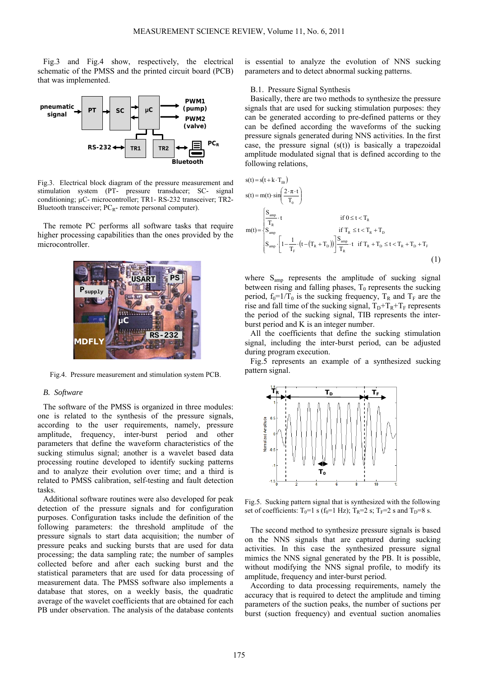Fig.3 and Fig.4 show, respectively, the electrical schematic of the PMSS and the printed circuit board (PCB) that was implemented.



Fig.3. Electrical block diagram of the pressure measurement and stimulation system (PT- pressure transducer; SC- signal conditioning; µC- microcontroller; TR1- RS-232 transceiver; TR2- Bluetooth transceiver;  $PC_R$ - remote personal computer).

The remote PC performs all software tasks that require higher processing capabilities than the ones provided by the microcontroller.



Fig.4. Pressure measurement and stimulation system PCB.

## *B. Software*

The software of the PMSS is organized in three modules: one is related to the synthesis of the pressure signals, according to the user requirements, namely, pressure amplitude, frequency, inter-burst period and other parameters that define the waveform characteristics of the sucking stimulus signal; another is a wavelet based data processing routine developed to identify sucking patterns and to analyze their evolution over time; and a third is related to PMSS calibration, self-testing and fault detection tasks.

Additional software routines were also developed for peak detection of the pressure signals and for configuration purposes. Configuration tasks include the definition of the following parameters: the threshold amplitude of the pressure signals to start data acquisition; the number of pressure peaks and sucking bursts that are used for data processing; the data sampling rate; the number of samples collected before and after each sucking burst and the statistical parameters that are used for data processing of measurement data. The PMSS software also implements a database that stores, on a weekly basis, the quadratic average of the wavelet coefficients that are obtained for each PB under observation. The analysis of the database contents

is essential to analyze the evolution of NNS sucking parameters and to detect abnormal sucking patterns.

#### B.1. Pressure Signal Synthesis

Basically, there are two methods to synthesize the pressure signals that are used for sucking stimulation purposes: they can be generated according to pre-defined patterns or they can be defined according the waveforms of the sucking pressure signals generated during NNS activities. In the first case, the pressure signal  $(s(t))$  is basically a trapezoidal amplitude modulated signal that is defined according to the following relations,

$$
s(t) = s(t + k \cdot T_{IB})
$$
  
\n
$$
s(t) = m(t) \cdot \sin\left(\frac{2 \cdot \pi \cdot t}{T_0}\right)
$$
  
\n
$$
m(t) = \begin{cases} \frac{S_{amp}}{T_R} \cdot t & \text{if } 0 \le t < T_R \\ S_{amp} & \text{if } T_R \le t < T_R + T_D \\ S_{amp} & \text{if } T_R \le t < T_R + T_D \\ S_{amp} & \text{if } T_R + T_D \le t < T_R + T_D + T_F \end{cases}
$$
  
\n(1)

where S<sub>amp</sub> represents the amplitude of sucking signal between rising and falling phases,  $T_0$  represents the sucking period,  $f_0=1/T_0$  is the sucking frequency,  $T_R$  and  $T_F$  are the rise and fall time of the sucking signal,  $T_D+T_R+T_F$  represents the period of the sucking signal, TIB represents the interburst period and K is an integer number.

All the coefficients that define the sucking stimulation signal, including the inter-burst period, can be adjusted during program execution.

Fig.5 represents an example of a synthesized sucking pattern signal.



Fig.5. Sucking pattern signal that is synthesized with the following set of coefficients:  $T_0=1$  s ( $f_0=1$  Hz);  $T_R=2$  s;  $T_F=2$  s and  $T_D=8$  s.

The second method to synthesize pressure signals is based on the NNS signals that are captured during sucking activities. In this case the synthesized pressure signal mimics the NNS signal generated by the PB. It is possible, without modifying the NNS signal profile, to modify its amplitude, frequency and inter-burst period.

According to data processing requirements, namely the accuracy that is required to detect the amplitude and timing parameters of the suction peaks, the number of suctions per burst (suction frequency) and eventual suction anomalies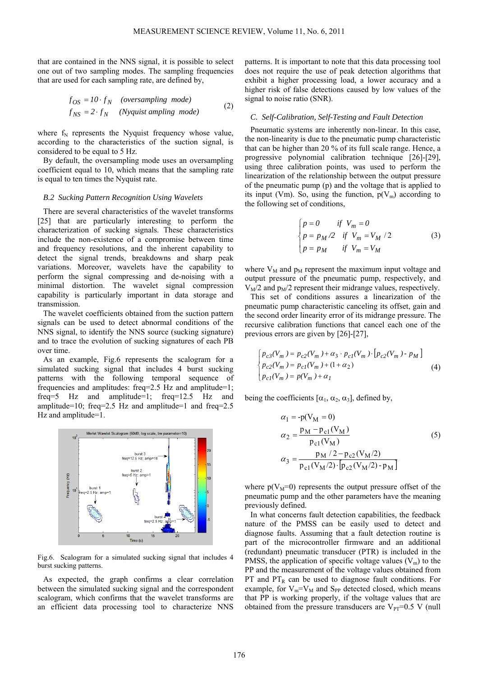that are contained in the NNS signal, it is possible to select one out of two sampling modes. The sampling frequencies that are used for each sampling rate, are defined by,

$$
f_{OS} = 10 \cdot f_N \quad (oversampling \ mode)
$$
  

$$
f_{NS} = 2 \cdot f_N \quad (Nyquist \ amplitude) \tag{2}
$$

where  $f_N$  represents the Nyquist frequency whose value, according to the characteristics of the suction signal, is considered to be equal to 5 Hz.

By default, the oversampling mode uses an oversampling coefficient equal to 10, which means that the sampling rate is equal to ten times the Nyquist rate.

#### *B.2 Sucking Pattern Recognition Using Wavelets*

There are several characteristics of the wavelet transforms [25] that are particularly interesting to perform the characterization of sucking signals. These characteristics include the non-existence of a compromise between time and frequency resolutions, and the inherent capability to detect the signal trends, breakdowns and sharp peak variations. Moreover, wavelets have the capability to perform the signal compressing and de-noising with a minimal distortion. The wavelet signal compression capability is particularly important in data storage and transmission.

The wavelet coefficients obtained from the suction pattern signals can be used to detect abnormal conditions of the NNS signal, to identify the NNS source (sucking signature) and to trace the evolution of sucking signatures of each PB over time.

As an example, Fig.6 represents the scalogram for a simulated sucking signal that includes 4 burst sucking patterns with the following temporal sequence of frequencies and amplitudes: freq=2.5 Hz and amplitude=1; freq=5 Hz and amplitude=1; freq=12.5 Hz and amplitude=10; freq=2.5 Hz and amplitude=1 and freq=2.5 Hz and amplitude=1.



Fig.6. Scalogram for a simulated sucking signal that includes 4 burst sucking patterns.

As expected, the graph confirms a clear correlation between the simulated sucking signal and the correspondent scalogram, which confirms that the wavelet transforms are an efficient data processing tool to characterize NNS patterns. It is important to note that this data processing tool does not require the use of peak detection algorithms that exhibit a higher processing load, a lower accuracy and a higher risk of false detections caused by low values of the signal to noise ratio (SNR).

## *C. Self-Calibration, Self-Testing and Fault Detection*

Pneumatic systems are inherently non-linear. In this case, the non-linearity is due to the pneumatic pump characteristic that can be higher than 20 % of its full scale range. Hence, a progressive polynomial calibration technique [26]-[29], using three calibration points, was used to perform the linearization of the relationship between the output pressure of the pneumatic pump (p) and the voltage that is applied to its input (Vm). So, using the function,  $p(V_m)$  according to the following set of conditions,

$$
\begin{cases}\np = 0 & \text{if } V_m = 0 \\
p = p_M / 2 & \text{if } V_m = V_M / 2 \\
p = p_M & \text{if } V_m = V_M\n\end{cases}
$$
\n(3)

where  $V_M$  and  $p_M$  represent the maximum input voltage and output pressure of the pneumatic pump, respectively, and  $V_M/2$  and  $p_M/2$  represent their midrange values, respectively.

This set of conditions assures a linearization of the pneumatic pump characteristic canceling its offset, gain and the second order linearity error of its midrange pressure. The recursive calibration functions that cancel each one of the previous errors are given by [26]-[27],

$$
\begin{cases}\np_{c3}(V_m) = p_{c2}(V_m) + \alpha_3 \cdot p_{c1}(V_m) \cdot [p_{c2}(V_m) - p_M] \\
p_{c2}(V_m) = p_{c1}(V_m) + (1 + \alpha_2) \\
p_{c1}(V_m) = p(V_m) + \alpha_1\n\end{cases} \tag{4}
$$

being the coefficients  $[\alpha_1, \alpha_2, \alpha_3]$ , defined by,

$$
\alpha_1 = -p(V_M = 0)
$$
  
\n
$$
\alpha_2 = \frac{p_M - p_{c1}(V_M)}{p_{c1}(V_M)}
$$
  
\n
$$
\alpha_3 = \frac{p_M / 2 - p_{c2}(V_M / 2)}{p_{c1}(V_M / 2) \cdot [p_{c2}(V_M / 2) - p_M]}
$$
\n(5)

where  $p(V_M=0)$  represents the output pressure offset of the pneumatic pump and the other parameters have the meaning previously defined.

In what concerns fault detection capabilities, the feedback nature of the PMSS can be easily used to detect and diagnose faults. Assuming that a fault detection routine is part of the microcontroller firmware and an additional (redundant) pneumatic transducer (PTR) is included in the PMSS, the application of specific voltage values  $(V_m)$  to the PP and the measurement of the voltage values obtained from PT and  $PT_R$  can be used to diagnose fault conditions. For example, for  $V_m = V_M$  and  $S_{PP}$  detected closed, which means that PP is working properly, if the voltage values that are obtained from the pressure transducers are  $V_{PT}=0.5$  V (null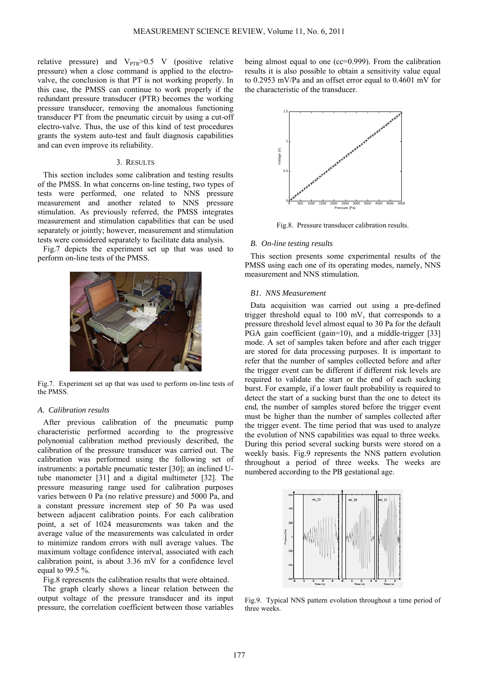relative pressure) and  $V_{\text{PTR}} > 0.5$  V (positive relative pressure) when a close command is applied to the electrovalve, the conclusion is that PT is not working properly. In this case, the PMSS can continue to work properly if the redundant pressure transducer (PTR) becomes the working pressure transducer, removing the anomalous functioning transducer PT from the pneumatic circuit by using a cut-off electro-valve. Thus, the use of this kind of test procedures grants the system auto-test and fault diagnosis capabilities and can even improve its reliability.

# 3. RESULTS

This section includes some calibration and testing results of the PMSS. In what concerns on-line testing, two types of tests were performed, one related to NNS pressure measurement and another related to NNS pressure stimulation. As previously referred, the PMSS integrates measurement and stimulation capabilities that can be used separately or jointly; however, measurement and stimulation tests were considered separately to facilitate data analysis.

Fig.7 depicts the experiment set up that was used to perform on-line tests of the PMSS.



Fig.7. Experiment set up that was used to perform on-line tests of the PMSS.

#### *A. Calibration results*

After previous calibration of the pneumatic pump characteristic performed according to the progressive polynomial calibration method previously described, the calibration of the pressure transducer was carried out. The calibration was performed using the following set of instruments: a portable pneumatic tester [30]; an inclined Utube manometer [31] and a digital multimeter [32]. The pressure measuring range used for calibration purposes varies between 0 Pa (no relative pressure) and 5000 Pa, and a constant pressure increment step of 50 Pa was used between adjacent calibration points. For each calibration point, a set of 1024 measurements was taken and the average value of the measurements was calculated in order to minimize random errors with null average values. The maximum voltage confidence interval, associated with each calibration point, is about 3.36 mV for a confidence level equal to 99.5 %.

Fig.8 represents the calibration results that were obtained.

The graph clearly shows a linear relation between the output voltage of the pressure transducer and its input pressure, the correlation coefficient between those variables being almost equal to one (cc=0.999). From the calibration results it is also possible to obtain a sensitivity value equal to 0.2953 mV/Pa and an offset error equal to 0.4601 mV for the characteristic of the transducer.



Fig.8. Pressure transducer calibration results.

# *B. On-line testing results*

This section presents some experimental results of the PMSS using each one of its operating modes, namely, NNS measurement and NNS stimulation.

#### *B1. NNS Measurement*

Data acquisition was carried out using a pre-defined trigger threshold equal to 100 mV, that corresponds to a pressure threshold level almost equal to 30 Pa for the default PGA gain coefficient (gain=10), and a middle-trigger [33] mode. A set of samples taken before and after each trigger are stored for data processing purposes. It is important to refer that the number of samples collected before and after the trigger event can be different if different risk levels are required to validate the start or the end of each sucking burst. For example, if a lower fault probability is required to detect the start of a sucking burst than the one to detect its end, the number of samples stored before the trigger event must be higher than the number of samples collected after the trigger event. The time period that was used to analyze the evolution of NNS capabilities was equal to three weeks. During this period several sucking bursts were stored on a weekly basis. Fig.9 represents the NNS pattern evolution throughout a period of three weeks. The weeks are numbered according to the PB gestational age.



Fig.9. Typical NNS pattern evolution throughout a time period of three weeks.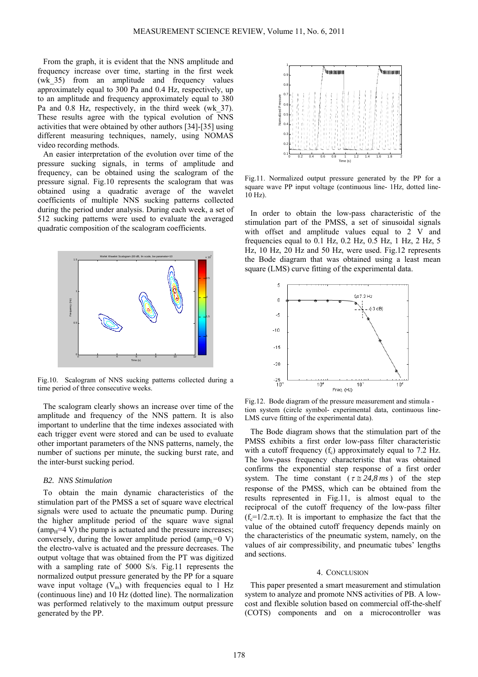From the graph, it is evident that the NNS amplitude and frequency increase over time, starting in the first week (wk\_35) from an amplitude and frequency values approximately equal to 300 Pa and 0.4 Hz, respectively, up to an amplitude and frequency approximately equal to 380 Pa and 0.8 Hz, respectively, in the third week (wk\_37). These results agree with the typical evolution of NNS activities that were obtained by other authors [34]-[35] using different measuring techniques, namely, using NOMAS video recording methods.

An easier interpretation of the evolution over time of the pressure sucking signals, in terms of amplitude and frequency, can be obtained using the scalogram of the pressure signal. Fig.10 represents the scalogram that was obtained using a quadratic average of the wavelet coefficients of multiple NNS sucking patterns collected during the period under analysis. During each week, a set of 512 sucking patterns were used to evaluate the averaged quadratic composition of the scalogram coefficients.



Fig.10. Scalogram of NNS sucking patterns collected during a time period of three consecutive weeks.

The scalogram clearly shows an increase over time of the amplitude and frequency of the NNS pattern. It is also important to underline that the time indexes associated with each trigger event were stored and can be used to evaluate other important parameters of the NNS patterns, namely, the number of suctions per minute, the sucking burst rate, and the inter-burst sucking period.

# *B2. NNS Stimulation*

To obtain the main dynamic characteristics of the stimulation part of the PMSS a set of square wave electrical signals were used to actuate the pneumatic pump. During the higher amplitude period of the square wave signal  $\text{(ampH} = 4 \text{ V})$  the pump is actuated and the pressure increases; conversely, during the lower amplitude period (amp<sub>L</sub>=0 V) the electro-valve is actuated and the pressure decreases. The output voltage that was obtained from the PT was digitized with a sampling rate of 5000 S/s. Fig.11 represents the normalized output pressure generated by the PP for a square wave input voltage  $(V_m)$  with frequencies equal to 1 Hz (continuous line) and 10 Hz (dotted line). The normalization was performed relatively to the maximum output pressure generated by the PP.



Fig.11. Normalized output pressure generated by the PP for a square wave PP input voltage (continuous line- 1Hz, dotted line-10 Hz).

In order to obtain the low-pass characteristic of the stimulation part of the PMSS, a set of sinusoidal signals with offset and amplitude values equal to 2 V and frequencies equal to 0.1 Hz, 0.2 Hz, 0.5 Hz, 1 Hz, 2 Hz, 5 Hz, 10 Hz, 20 Hz and 50 Hz, were used. Fig.12 represents the Bode diagram that was obtained using a least mean square (LMS) curve fitting of the experimental data.



Fig.12. Bode diagram of the pressure measurement and stimula tion system (circle symbol- experimental data, continuous line-LMS curve fitting of the experimental data).

The Bode diagram shows that the stimulation part of the PMSS exhibits a first order low-pass filter characteristic with a cutoff frequency  $(f_c)$  approximately equal to 7.2 Hz. The low-pass frequency characteristic that was obtained confirms the exponential step response of a first order system. The time constant ( $\tau \approx 24.8 \text{ ms}$ ) of the step response of the PMSS, which can be obtained from the results represented in Fig.11, is almost equal to the reciprocal of the cutoff frequency of the low-pass filter (f<sub>c</sub>=1/2, $\pi$ , $\tau$ ). It is important to emphasize the fact that the value of the obtained cutoff frequency depends mainly on the characteristics of the pneumatic system, namely, on the values of air compressibility, and pneumatic tubes' lengths and sections.

#### 4. CONCLUSION

This paper presented a smart measurement and stimulation system to analyze and promote NNS activities of PB. A lowcost and flexible solution based on commercial off-the-shelf (COTS) components and on a microcontroller was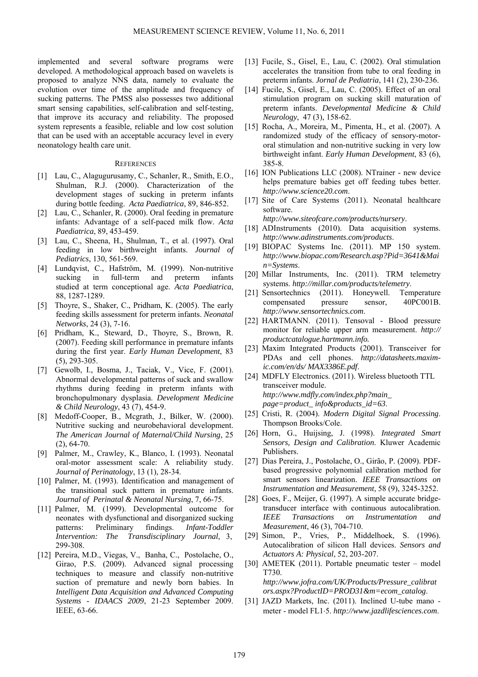implemented and several software programs were developed. A methodological approach based on wavelets is proposed to analyze NNS data, namely to evaluate the evolution over time of the amplitude and frequency of sucking patterns. The PMSS also possesses two additional smart sensing capabilities, self-calibration and self-testing, that improve its accuracy and reliability. The proposed system represents a feasible, reliable and low cost solution that can be used with an acceptable accuracy level in every neonatology health care unit.

#### **REFERENCES**

- [1] Lau, C., Alagugurusamy, C., Schanler, R., Smith, E.O., Shulman, R.J. (2000). Characterization of the development stages of sucking in preterm infants during bottle feeding. *Acta Paediatrica*, 89, 846-852.
- [2] Lau, C., Schanler, R. (2000). Oral feeding in premature infants: Advantage of a self-paced milk flow. *Acta Paediatrica*, 89, 453-459.
- [3] Lau, C., Sheena, H., Shulman, T., et al. (1997). Oral feeding in low birthweight infants. *Journal of Pediatrics*, 130, 561-569.
- [4] Lundqvist, C., Hafström, M. (1999). Non-nutritive sucking in full-term and preterm infants studied at term conceptional age. *Acta Paediatrica*, 88, 1287-1289.
- [5] Thoyre, S., Shaker, C., Pridham, K. (2005). The early feeding skills assessment for preterm infants. *Neonatal Networks*, 24 (3), 7-16.
- [6] Pridham, K., Steward, D., Thoyre, S., Brown, R. (2007). Feeding skill performance in premature infants during the first year. *Early Human Development*, 83 (5), 293-305.
- [7] Gewolb, I., Bosma, J., Taciak, V., Vice, F. (2001). Abnormal developmental patterns of suck and swallow rhythms during feeding in preterm infants with bronchopulmonary dysplasia. *Development Medicine & Child Neurology*, 43 (7), 454-9.
- [8] Medoff-Cooper, B., Mcgrath, J., Bilker, W. (2000). Nutritive sucking and neurobehavioral development. *The American Journal of Maternal/Child Nursing*, 25 (2), 64-70.
- [9] Palmer, M., Crawley, K., Blanco, I. (1993). Neonatal oral-motor assessment scale: A reliability study. *Journal of Perinatology*, 13 (1), 28-34.
- [10] Palmer, M. (1993). Identification and management of the transitional suck pattern in premature infants. *Journal of Perinatal & Neonatal Nursing*, 7, 66-75.
- [11] Palmer, M. (1999). Developmental outcome for neonates with dysfunctional and disorganized sucking patterns: Preliminary findings. *Infant-Toddler Intervention: The Transdisciplinary Journal*, 3, 299-308.
- [12] Pereira, M.D., Viegas, V., Banha, C., Postolache, O., Girao, P.S. (2009). Advanced signal processing techniques to measure and classify non-nutritive suction of premature and newly born babies. In *Intelligent Data Acquisition and Advanced Computing Systems - IDAACS 2009*, 21-23 September 2009. IEEE, 63-66.
- [13] Fucile, S., Gisel, E., Lau, C. (2002). Oral stimulation accelerates the transition from tube to oral feeding in preterm infants. *Jornal de Pediatria*, 141 (2), 230-236.
- [14] Fucile, S., Gisel, E., Lau, C. (2005). Effect of an oral stimulation program on sucking skill maturation of preterm infants. *Developmental Medicine & Child Neurology*, 47 (3), 158-62.
- [15] Rocha, A., Moreira, M., Pimenta, H., et al. (2007). A randomized study of the efficacy of sensory-motororal stimulation and non-nutritive sucking in very low birthweight infant. *Early Human Development*, 83 (6), 385-8.
- [16] ION Publications LLC (2008). NTrainer new device helps premature babies get off feeding tubes better. *http://www.science20.com*.
- [17] Site of Care Systems (2011). Neonatal healthcare software.
- *http://www.siteofcare.com/products/nursery*. [18] ADInstruments (2010). Data acquisition systems. *http://www.adinstruments.com/products*.
- [19] BIOPAC Systems Inc. (2011). MP 150 system. *http://www.biopac.com/Research.asp?Pid=3641&Mai n=Systems*.
- [20] Millar Instruments, Inc. (2011). TRM telemetry systems. *http://millar.com/products/telemetry*.
- [21] Sensortechnics (2011). Honeywell. Temperature compensated pressure sensor, 40PC001B. *http://www.sensortechnics.com*.
- [22] HARTMANN. (2011). Tensoval Blood pressure monitor for reliable upper arm measurement. *http:// productcatalogue.hartmann.info.*
- [23] Maxim Integrated Products (2001). Transceiver for PDAs and cell phones. *http://datasheets.maximic.com/en/ds/ MAX3386E.pdf*.
- [24] MDFLY Electronics. (2011). Wireless bluetooth TTL transceiver module. *http://www.mdfly.com/index.php?main\_ page=product\_ info&products\_id=63*.
- [25] Cristi, R. (2004). *Modern Digital Signal Processing*. Thompson Brooks/Cole.
- [26] Horn, G., Huijsing, J. (1998). *Integrated Smart Sensors, Design and Calibration*. Kluwer Academic Publishers.
- [27] Dias Pereira, J., Postolache, O., Girão, P. (2009). PDFbased progressive polynomial calibration method for smart sensors linearization. *IEEE Transactions on Instrumentation and Measurement*, 58 (9), 3245-3252.
- [28] Goes, F., Meijer, G. (1997). A simple accurate bridgetransducer interface with continuous autocalibration. *IEEE Transactions on Instrumentation and Measurement*, 46 (3), 704-710.
- [29] Simon, P., Vries, P., Middelhoek, S. (1996). Autocalibration of silicon Hall devices. *Sensors and Actuators A: Physical*, 52, 203-207.
- [30] AMETEK (2011). Portable pneumatic tester model T730. *http://www.jofra.com/UK/Products/Pressure\_calibrat ors.aspx?ProductID=PROD31&m=ecom\_catalog*.
- [31] JAZD Markets, Inc. (2011). Inclined U-tube mano meter - model FL1⋅5. *http://www.jazdlifesciences.com*.